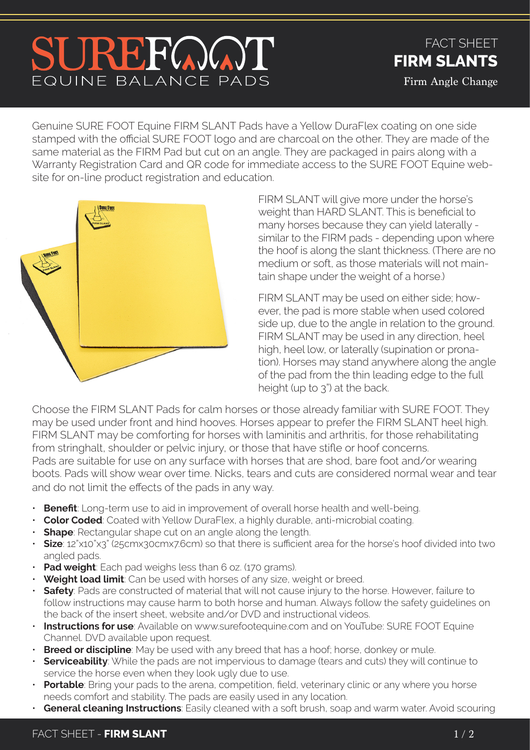## SUREFOOT EQUINE BALANCE PADS

FACT SHEET **FIRM SLANTS** Firm Angle Change

Genuine SURE FOOT Equine FIRM SLANT Pads have a Yellow DuraFlex coating on one side stamped with the official SURE FOOT logo and are charcoal on the other. They are made of the same material as the FIRM Pad but cut on an angle. They are packaged in pairs along with a Warranty Registration Card and QR code for immediate access to the SURE FOOT Equine website for on-line product registration and education.



FIRM SLANT will give more under the horse's weight than HARD SLANT. This is beneficial to many horses because they can yield laterally similar to the FIRM pads - depending upon where the hoof is along the slant thickness. (There are no medium or soft, as those materials will not maintain shape under the weight of a horse.)

FIRM SLANT may be used on either side; however, the pad is more stable when used colored side up, due to the angle in relation to the ground. FIRM SLANT may be used in any direction, heel high, heel low, or laterally (supination or pronation). Horses may stand anywhere along the angle of the pad from the thin leading edge to the full height (up to 3") at the back.

Choose the FIRM SLANT Pads for calm horses or those already familiar with SURE FOOT. They may be used under front and hind hooves. Horses appear to prefer the FIRM SLANT heel high. FIRM SLANT may be comforting for horses with laminitis and arthritis, for those rehabilitating from stringhalt, shoulder or pelvic injury, or those that have stifle or hoof concerns. Pads are suitable for use on any surface with horses that are shod, bare foot and/or wearing boots. Pads will show wear over time. Nicks, tears and cuts are considered normal wear and tear and do not limit the effects of the pads in any way.

- **Benefit**: Long-term use to aid in improvement of overall horse health and well-being.
- **Color Coded**: Coated with Yellow DuraFlex, a highly durable, anti-microbial coating.
- **Shape**: Rectangular shape cut on an angle along the length.
- **Size**: 12"x10"x3" (25cmx30cmx7.6cm) so that there is sufficient area for the horse's hoof divided into two angled pads.
- **Pad weight**: Each pad weighs less than 6 oz. (170 grams).
- **Weight load limit**: Can be used with horses of any size, weight or breed.
- **Safety**: Pads are constructed of material that will not cause injury to the horse. However, failure to follow instructions may cause harm to both horse and human. Always follow the safety guidelines on the back of the insert sheet, website and/or DVD and instructional videos.
- **Instructions for use**: Available on www.surefootequine.com and on YouTube: SURE FOOT Equine Channel. DVD available upon request.
- **Breed or discipline**: May be used with any breed that has a hoof; horse, donkey or mule.
- **Serviceability**: While the pads are not impervious to damage (tears and cuts) they will continue to service the horse even when they look ugly due to use.
- **Portable**: Bring your pads to the arena, competition, field, veterinary clinic or any where you horse needs comfort and stability. The pads are easily used in any location.
- **General cleaning Instructions**: Easily cleaned with a soft brush, soap and warm water. Avoid scouring